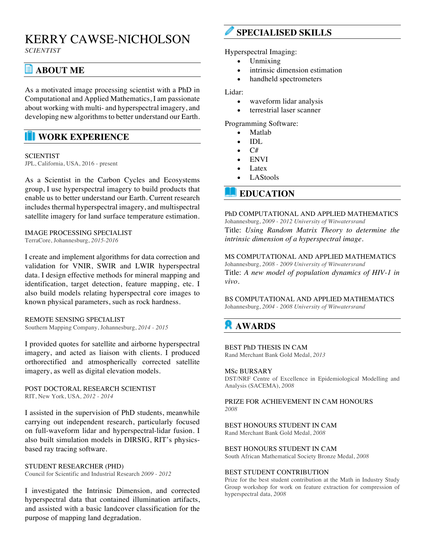# KERRY CAWSE-NICHOLSON

*SCIENTIST*

# **ABOUT ME**

As a motivated image processing scientist with a PhD in Computational and Applied Mathematics, I am passionate about working with multi- and hyperspectral imagery, and developing new algorithms to better understand our Earth.

### **WORK EXPERIENCE**

### **SCIENTIST**

JPL, California, USA, 2016 - present

As a Scientist in the Carbon Cycles and Ecosystems group, I use hyperspectral imagery to build products that enable us to better understand our Earth. Current research includes thermal hyperspectral imagery, and multispectral satellite imagery for land surface temperature estimation.

#### IMAGE PROCESSING SPECIALIST TerraCore, Johannesburg, *2015-2016*

I create and implement algorithms for data correction and validation for VNIR, SWIR and LWIR hyperspectral data. I design effective methods for mineral mapping and identification, target detection, feature mapping, etc. I also build models relating hyperspectral core images to known physical parameters, such as rock hardness.

#### REMOTE SENSING SPECIALIST

Southern Mapping Company, Johannesburg, *2014 - 2015* 

I provided quotes for satellite and airborne hyperspectral imagery, and acted as liaison with clients. I produced orthorectified and atmospherically corrected satellite imagery, as well as digital elevation models.

POST DOCTORAL RESEARCH SCIENTIST RIT, New York, USA*, 2012 - 2014* 

I assisted in the supervision of PhD students, meanwhile carrying out independent research, particularly focused on full-waveform lidar and hyperspectral-lidar fusion. I also built simulation models in DIRSIG, RIT's physicsbased ray tracing software.

STUDENT RESEARCHER (PHD) Council for Scientific and Industrial Research *2009 - 2012* 

I investigated the Intrinsic Dimension, and corrected hyperspectral data that contained illumination artifacts, and assisted with a basic landcover classification for the purpose of mapping land degradation.

# **SPECIALISED SKILLS**

Hyperspectral Imaging:

- Unmixing
- intrinsic dimension estimation
- handheld spectrometers

#### Lidar:

- waveform lidar analysis
- terrestrial laser scanner

Programming Software:

- Matlab
- IDL
- $\bullet$   $C#$
- **ENVI**
- Latex
- LAStools

### **EDUCATION**

#### PhD COMPUTATIONAL AND APPLIED MATHEMATICS

Johannesburg, *2009 - 2012 University of Witwatersrand*  Title: *Using Random Matrix Theory to determine the intrinsic dimension of a hyperspectral image.* 

#### MS COMPUTATIONAL AND APPLIED MATHEMATICS

Johannesburg, *2008 - 2009 University of Witwatersrand*  Title: *A new model of population dynamics of HIV-1 in vivo.* 

BS COMPUTATIONAL AND APPLIED MATHEMATICS Johannesburg, *2004 - 2008 University of Witwatersrand* 

# **AWARDS**

#### BEST PhD THESIS IN CAM

Rand Merchant Bank Gold Medal, *2013* 

#### MSc BURSARY

DST/NRF Centre of Excellence in Epidemiological Modelling and Analysis (SACEMA), *2008* 

#### PRIZE FOR ACHIEVEMENT IN CAM HONOURS *2008*

### BEST HONOURS STUDENT IN CAM

Rand Merchant Bank Gold Medal, *2008* 

#### BEST HONOURS STUDENT IN CAM

South African Mathematical Society Bronze Medal, *2008* 

#### BEST STUDENT CONTRIBUTION

Prize for the best student contribution at the Math in Industry Study Group workshop for work on feature extraction for compression of hyperspectral data, *2008*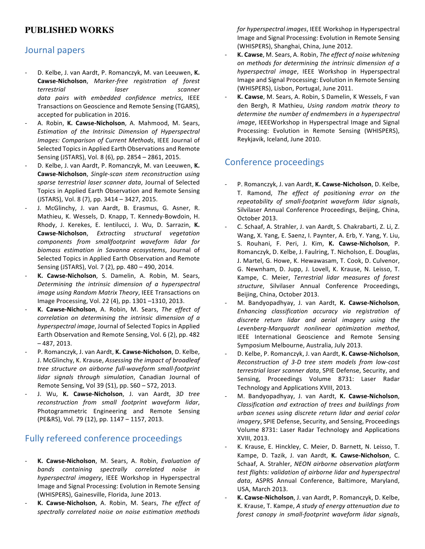# **PUBLISHED WORKS**

### Journal papers

- D. Kelbe, J. van Aardt, P. Romanczyk, M. van Leeuwen, K. **Cawse-Nicholson**, *Marker-free registration of forest terrestrial laser scanner data pairs with embedded confidence metrics*, IEEE Transactions on Geoscience and Remote Sensing (TGARS), accepted for publication in 2016.
- A. Robin, K. Cawse-Nicholson, A. Mahmood, M. Sears, *Estimation of the Intrinsic Dimension of Hyperspectral Images: Comparison of Current Methods*, IEEE Journal of Selected Topics in Applied Earth Observations and Remote Sensing (JSTARS), Vol. 8 (6), pp. 2854 - 2861, 2015.
- D. Kelbe, J. van Aardt, P. Romanczyk, M. van Leeuwen, K. **Cawse-Nicholson**, *Single-scan* stem reconstruction using sparse terrestrial laser scanner data, Journal of Selected Topics in Applied Earth Observation and Remote Sensing (JSTARS), Vol. 8 (7), pp. 3414 - 3427, 2015.
- J. McGlinchy, J. van Aardt, B. Erasmus, G. Asner, R. Mathieu, K. Wessels, D. Knapp, T. Kennedy-Bowdoin, H. Rhody, J. Kerekes, E. lentilucci, J. Wu, D. Sarrazin, K. **Cawse-Nicholson**, *Extracting structural vegetation components from smallfootprint waveform lidar for biomass estimation in Savanna ecosystems*, Journal of Selected Topics in Applied Earth Observation and Remote Sensing (JSTARS), Vol. 7 (2), pp. 480 - 490, 2014.
- K. Cawse-Nicholson, S. Damelin, A. Robin, M. Sears, Determining the intrinsic dimension of a hyperspectral *image using Random Matrix Theory*, IEEE Transactions on Image Processing, Vol. 22 (4), pp. 1301 -1310, 2013.
- K. Cawse-Nicholson, A. Robin, M. Sears, *The effect of correlation* on determining the intrinsic dimension of a *hyperspectral image*, Journal of Selected Topics in Applied Earth Observation and Remote Sensing, Vol. 6 (2), pp. 482  $-487, 2013.$
- P. Romanczyk, J. van Aardt, K. Cawse-Nicholson, D. Kelbe, J. McGlinchy, K. Krause, *Assessing the impact of broadleaf tree structure on airborne full-waveform small-footprint*  lidar signals through simulation, Canadian Journal of Remote Sensing, Vol 39 (S1), pp. S60 - S72, 2013.
- J. Wu, K. Cawse-Nicholson, J. van Aardt, 3D tree *reconstruction from small footprint waveform lidar*, Photogrammetric Engineering and Remote Sensing (PE&RS), Vol. 79 (12), pp. 1147 - 1157, 2013.

### Fully refereed conference proceedings

- K. Cawse-Nicholson, M. Sears, A. Robin, *Evaluation of bands containing spectrally correlated noise in hyperspectral imagery*, IEEE Workshop in Hyperspectral Image and Signal Processing: Evolution in Remote Sensing (WHISPERS), Gainesville, Florida, June 2013.
- K. Cawse-Nicholson, A. Robin, M. Sears, The effect of spectrally correlated noise on noise estimation methods

*for hyperspectral images*, IEEE Workshop in Hyperspectral Image and Signal Processing: Evolution in Remote Sensing (WHISPERS), Shanghai, China, June 2012.

- K. Cawse, M. Sears, A. Robin, *The effect of noise whitening* on methods for determining the intrinsic dimension of a *hyperspectral image*, IEEE Workshop in Hyperspectral Image and Signal Processing: Evolution in Remote Sensing (WHISPERS), Lisbon, Portugal, June 2011.
- K. Cawse, M. Sears, A. Robin, S Damelin, K Wessels, F van den Bergh, R Mathieu, Using random matrix theory to *determine the number of endmembers in a hyperspectral image*, IEEEWorkshop in Hyperspectral Image and Signal Processing: Evolution in Remote Sensing (WHISPERS), Reykjavik, Iceland, June 2010.

### Conference proceedings

- P. Romanczyk, J. van Aardt, **K. Cawse-Nicholson**, D. Kelbe, T. Ramond, *The effect of positioning error on the repeatability of small-footprint waveform lidar signals*, Silvilaser Annual Conference Proceedings, Beijing, China, October 2013.
- C. Schaaf, A. Strahler, J. van Aardt, S. Chakrabarti, Z. Li, Z. Wang, X. Yang, E. Saenz, I. Paynter, A. Erb, Y. Yang, Y. Liu, S. Rouhani, F. Peri, J. Kim, K. Cawse-Nicholson, P. Romanczyk, D. Kelbe, J. Faulring, T. Nicholson, E. Douglas, J. Martel, G. Howe, K. Hewawasam, T. Cook, D. Culvenor, G. Newnham, D. Jupp, J. Lovell, K. Krause, N. Leisso, T. Kampe, C. Meier, *Terrestrial lidar measures of forest structure*, Silvilaser Annual Conference Proceedings, Beijing, China, October 2013.
- M. Bandyopadhyay, J. van Aardt, K. Cawse-Nicholson, *Enhancing classification accuracy via registration of*  discrete return lidar and aerial imagery using the *Levenberg-Marquardt nonlinear optimization method*, IEEE International Geoscience and Remote Sensing Symposium Melbourne, Australia, July 2013.
- D. Kelbe, P. Romanczyk, J. van Aardt, K. Cawse-Nicholson, *Reconstruction of 3-D tree stem models from low-cost terrestrial laser scanner data*, SPIE Defense, Security, and Sensing, Proceedings Volume 8731: Laser Radar Technology and Applications XVIII, 2013.
- M. Bandyopadhyay, J. van Aardt, K. Cawse-Nicholson, *Classification and extraction of trees and buildings from urban scenes using discrete return lidar and aerial color imagery*, SPIE Defense, Security, and Sensing, Proceedings Volume 8731: Laser Radar Technology and Applications XVIII, 2013.
- K. Krause, E. Hinckley, C. Meier, D. Barnett, N. Leisso, T. Kampe, D. Tazik, J. van Aardt, K. Cawse-Nicholson, C. Schaaf, A. Strahler, *NEON airborne observation platform* test flights: validation of airborne lidar and hyperspectral data, ASPRS Annual Conference, Baltimore, Maryland, USA, March 2013.
- K. Cawse-Nicholson, J. van Aardt, P. Romanczyk, D. Kelbe, K. Krause, T. Kampe, A study of energy attenuation due to *forest canopy in small-footprint waveform lidar signals*,